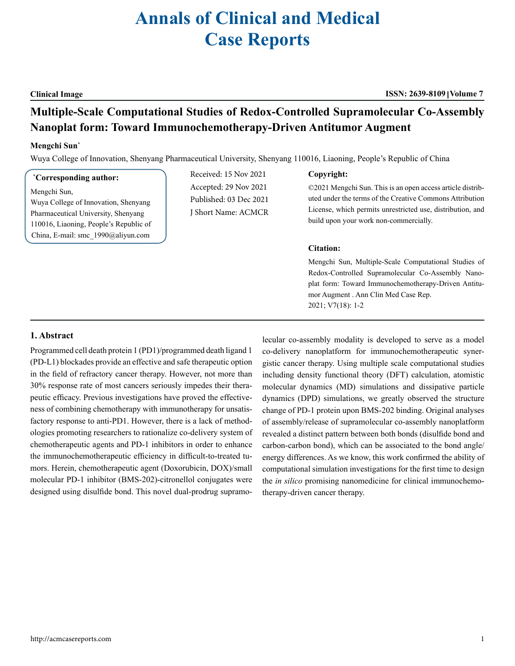# **Annals of Clinical and Medical Case Reports**

**Multiple-Scale Computational Studies of Redox-Controlled Supramolecular Co-Assembly Nanoplat form: Toward Immunochemotherapy-Driven Antitumor Augment**

## **Mengchi Sun**\*

Wuya College of Innovation, Shenyang Pharmaceutical University, Shenyang 110016, Liaoning, People's Republic of China

### **\* Corresponding author:**

Mengchi Sun, Wuya College of Innovation, Shenyang Pharmaceutical University, Shenyang 110016, Liaoning, People's Republic of China, E-mail: smc\_1990@aliyun.com

Received: 15 Nov 2021 Accepted: 29 Nov 2021 Published: 03 Dec 2021 J Short Name: ACMCR

#### **Copyright:**

©2021 Mengchi Sun. This is an open access article distributed under the terms of the Creative Commons Attribution License, which permits unrestricted use, distribution, and build upon your work non-commercially.

#### **Citation:**

Mengchi Sun, Multiple-Scale Computational Studies of Redox-Controlled Supramolecular Co-Assembly Nanoplat form: Toward Immunochemotherapy-Driven Antitumor Augment . Ann Clin Med Case Rep. 2021; V7(18): 1-2

#### **1. Abstract**

Programmed cell death protein 1 (PD1)/programmed death ligand 1 (PD-L1) blockades provide an effective and safe therapeutic option in the field of refractory cancer therapy. However, not more than 30% response rate of most cancers seriously impedes their therapeutic efficacy. Previous investigations have proved the effectiveness of combining chemotherapy with immunotherapy for unsatisfactory response to anti-PD1. However, there is a lack of methodologies promoting researchers to rationalize co-delivery system of chemotherapeutic agents and PD-1 inhibitors in order to enhance the immunochemotherapeutic efficiency in difficult-to-treated tumors. Herein, chemotherapeutic agent (Doxorubicin, DOX)/small molecular PD-1 inhibitor (BMS-202)-citronellol conjugates were designed using disulfide bond. This novel dual-prodrug supramolecular co-assembly modality is developed to serve as a model co-delivery nanoplatform for immunochemotherapeutic synergistic cancer therapy. Using multiple scale computational studies including density functional theory (DFT) calculation, atomistic molecular dynamics (MD) simulations and dissipative particle dynamics (DPD) simulations, we greatly observed the structure change of PD-1 protein upon BMS-202 binding. Original analyses of assembly/release of supramolecular co-assembly nanoplatform revealed a distinct pattern between both bonds (disulfide bond and carbon-carbon bond), which can be associated to the bond angle/ energy differences. As we know, this work confirmed the ability of computational simulation investigations for the first time to design the *in silico* promising nanomedicine for clinical immunochemotherapy-driven cancer therapy.